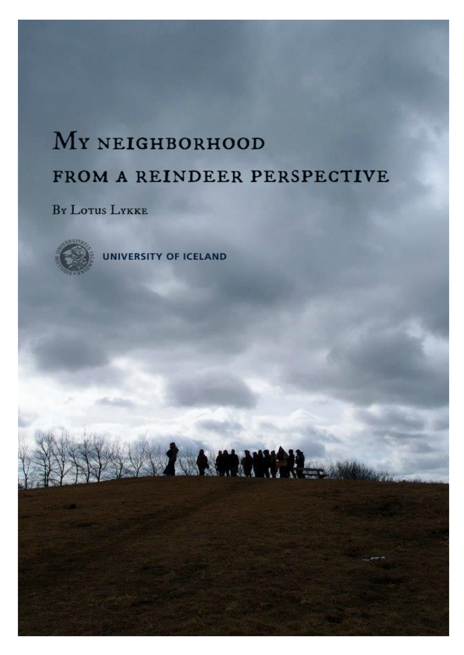# MY NEIGHBORHOOD FROM A REINDEER PERSPECTIVE

**BY LOTUS LYKKE** 



**UNIVERSITY OF ICELAND** 

SENT A MANIA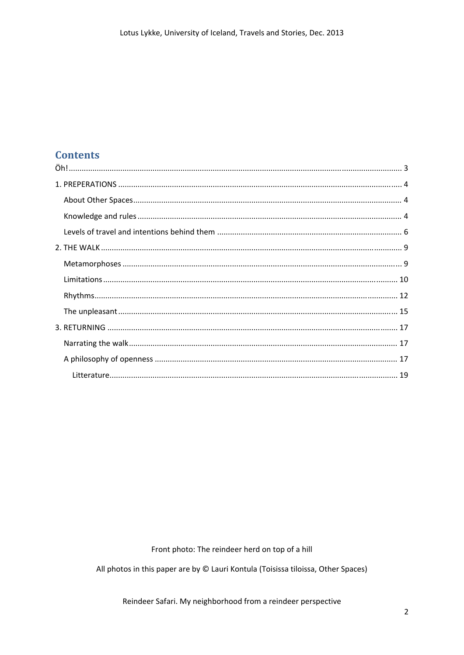## **Contents**

Front photo: The reindeer herd on top of a hill

All photos in this paper are by © Lauri Kontula (Toisissa tiloissa, Other Spaces)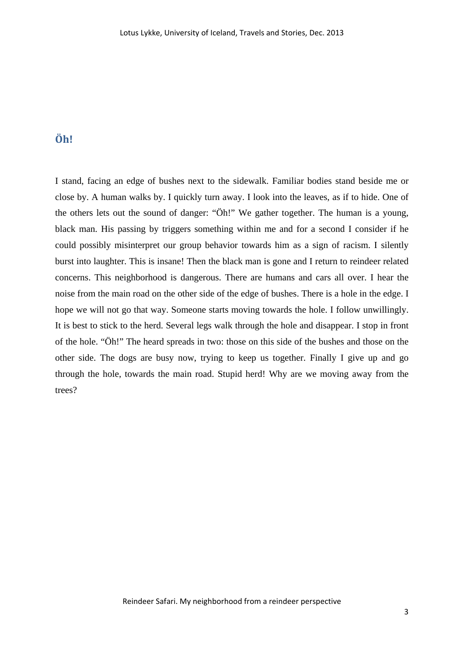## **Öh!**

I stand, facing an edge of bushes next to the sidewalk. Familiar bodies stand beside me or close by. A human walks by. I quickly turn away. I look into the leaves, as if to hide. One of the others lets out the sound of danger: "Öh!" We gather together. The human is a young, black man. His passing by triggers something within me and for a second I consider if he could possibly misinterpret our group behavior towards him as a sign of racism. I silently burst into laughter. This is insane! Then the black man is gone and I return to reindeer related concerns. This neighborhood is dangerous. There are humans and cars all over. I hear the noise from the main road on the other side of the edge of bushes. There is a hole in the edge. I hope we will not go that way. Someone starts moving towards the hole. I follow unwillingly. It is best to stick to the herd. Several legs walk through the hole and disappear. I stop in front of the hole. "Öh!" The heard spreads in two: those on this side of the bushes and those on the other side. The dogs are busy now, trying to keep us together. Finally I give up and go through the hole, towards the main road. Stupid herd! Why are we moving away from the trees?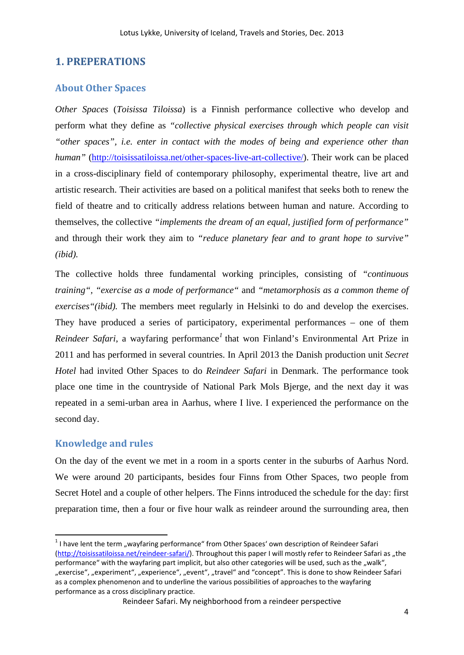## **1. PREPERATIONS**

#### **About Other Spaces**

*Other Spaces* (*Toisissa Tiloissa*) is a Finnish performance collective who develop and perform what they define as *"collective physical exercises through which people can visit "other spaces", i.e. enter in contact with the modes of being and experience other than human*" (http://toisissatiloissa.net/other-spaces-live-art-collective/). Their work can be placed in a cross-disciplinary field of contemporary philosophy, experimental theatre, live art and artistic research. Their activities are based on a political manifest that seeks both to renew the field of theatre and to critically address relations between human and nature. According to themselves, the collective *"implements the dream of an equal, justified form of performance"*  and through their work they aim to *"reduce planetary fear and to grant hope to survive" (ibid).* 

The collective holds three fundamental working principles, consisting of *"continuous training", "exercise as a mode of performance"* and *"metamorphosis as a common theme of exercises"(ibid).* The members meet regularly in Helsinki to do and develop the exercises. They have produced a series of participatory, experimental performances – one of them *Reindeer Safari*, a wayfaring performance*<sup>1</sup>* that won Finland's Environmental Art Prize in 2011 and has performed in several countries. In April 2013 the Danish production unit *Secret Hotel* had invited Other Spaces to do *Reindeer Safari* in Denmark. The performance took place one time in the countryside of National Park Mols Bjerge, and the next day it was repeated in a semi-urban area in Aarhus, where I live. I experienced the performance on the second day.

#### **Knowledge and rules**

On the day of the event we met in a room in a sports center in the suburbs of Aarhus Nord. We were around 20 participants, besides four Finns from Other Spaces, two people from Secret Hotel and a couple of other helpers. The Finns introduced the schedule for the day: first preparation time, then a four or five hour walk as reindeer around the surrounding area, then

 $1$  I have lent the term "wayfaring performance" from Other Spaces' own description of Reindeer Safari (http://toisissatiloissa.net/reindeer-safari/). Throughout this paper I will mostly refer to Reindeer Safari as "the performance" with the wayfaring part implicit, but also other categories will be used, such as the "walk", "exercise", "experiment", "experience", "event", "travel" and "concept". This is done to show Reindeer Safari as a complex phenomenon and to underline the various possibilities of approaches to the wayfaring performance as a cross disciplinary practice.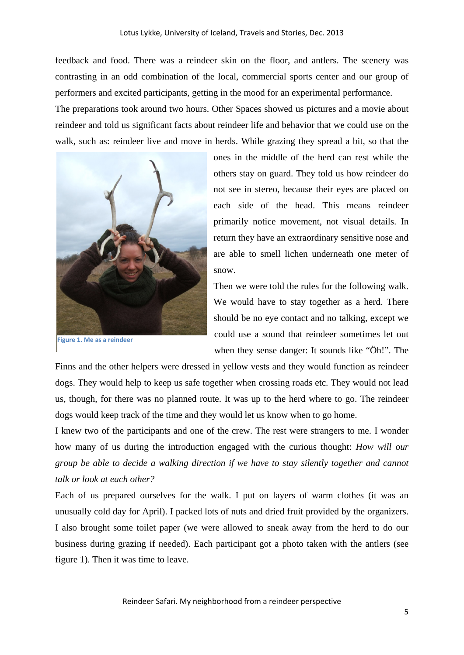feedback and food. There was a reindeer skin on the floor, and antlers. The scenery was contrasting in an odd combination of the local, commercial sports center and our group of performers and excited participants, getting in the mood for an experimental performance.

The preparations took around two hours. Other Spaces showed us pictures and a movie about reindeer and told us significant facts about reindeer life and behavior that we could use on the walk, such as: reindeer live and move in herds. While grazing they spread a bit, so that the



**Figure 1. Me as a reindeer** 

ones in the middle of the herd can rest while the others stay on guard. They told us how reindeer do not see in stereo, because their eyes are placed on each side of the head. This means reindeer primarily notice movement, not visual details. In return they have an extraordinary sensitive nose and are able to smell lichen underneath one meter of snow.

Then we were told the rules for the following walk. We would have to stay together as a herd. There should be no eye contact and no talking, except we could use a sound that reindeer sometimes let out when they sense danger: It sounds like "Öh!". The

Finns and the other helpers were dressed in yellow vests and they would function as reindeer dogs. They would help to keep us safe together when crossing roads etc. They would not lead us, though, for there was no planned route. It was up to the herd where to go. The reindeer dogs would keep track of the time and they would let us know when to go home.

I knew two of the participants and one of the crew. The rest were strangers to me. I wonder how many of us during the introduction engaged with the curious thought: *How will our group be able to decide a walking direction if we have to stay silently together and cannot talk or look at each other?* 

Each of us prepared ourselves for the walk. I put on layers of warm clothes (it was an unusually cold day for April). I packed lots of nuts and dried fruit provided by the organizers. I also brought some toilet paper (we were allowed to sneak away from the herd to do our business during grazing if needed). Each participant got a photo taken with the antlers (see figure 1). Then it was time to leave.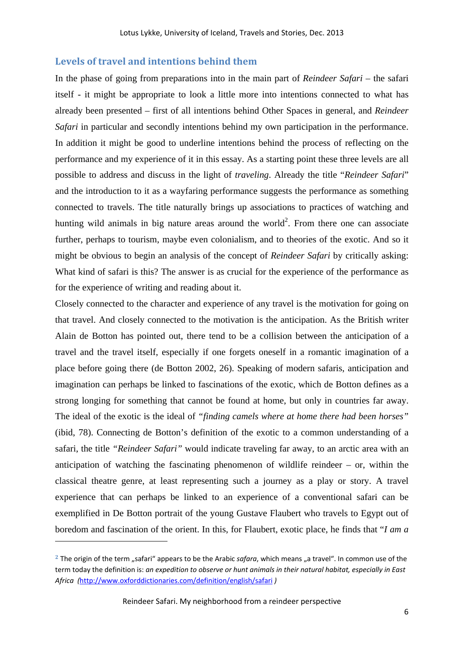#### **Levels of travel and intentions behind them**

In the phase of going from preparations into in the main part of *Reindeer Safari* – the safari itself - it might be appropriate to look a little more into intentions connected to what has already been presented – first of all intentions behind Other Spaces in general, and *Reindeer Safari* in particular and secondly intentions behind my own participation in the performance. In addition it might be good to underline intentions behind the process of reflecting on the performance and my experience of it in this essay. As a starting point these three levels are all possible to address and discuss in the light of *traveling*. Already the title "*Reindeer Safari*" and the introduction to it as a wayfaring performance suggests the performance as something connected to travels. The title naturally brings up associations to practices of watching and hunting wild animals in big nature areas around the world<sup>2</sup>. From there one can associate further, perhaps to tourism, maybe even colonialism, and to theories of the exotic. And so it might be obvious to begin an analysis of the concept of *Reindeer Safari* by critically asking: What kind of safari is this? The answer is as crucial for the experience of the performance as for the experience of writing and reading about it.

Closely connected to the character and experience of any travel is the motivation for going on that travel. And closely connected to the motivation is the anticipation. As the British writer Alain de Botton has pointed out, there tend to be a collision between the anticipation of a travel and the travel itself, especially if one forgets oneself in a romantic imagination of a place before going there (de Botton 2002, 26). Speaking of modern safaris, anticipation and imagination can perhaps be linked to fascinations of the exotic, which de Botton defines as a strong longing for something that cannot be found at home, but only in countries far away. The ideal of the exotic is the ideal of *"finding camels where at home there had been horses"*  (ibid, 78). Connecting de Botton's definition of the exotic to a common understanding of a safari, the title *"Reindeer Safari"* would indicate traveling far away, to an arctic area with an anticipation of watching the fascinating phenomenon of wildlife reindeer  $-$  or, within the classical theatre genre, at least representing such a journey as a play or story. A travel experience that can perhaps be linked to an experience of a conventional safari can be exemplified in De Botton portrait of the young Gustave Flaubert who travels to Egypt out of boredom and fascination of the orient. In this, for Flaubert, exotic place, he finds that "*I am a* 

<sup>&</sup>lt;sup>2</sup> The origin of the term "safari" appears to be the Arabic *safara*, which means "a travel". In common use of the term today the definition is: *an expedition to observe or hunt animals in their natural habitat, especially in East Africa (*http://www.oxforddictionaries.com/definition/english/safari *)*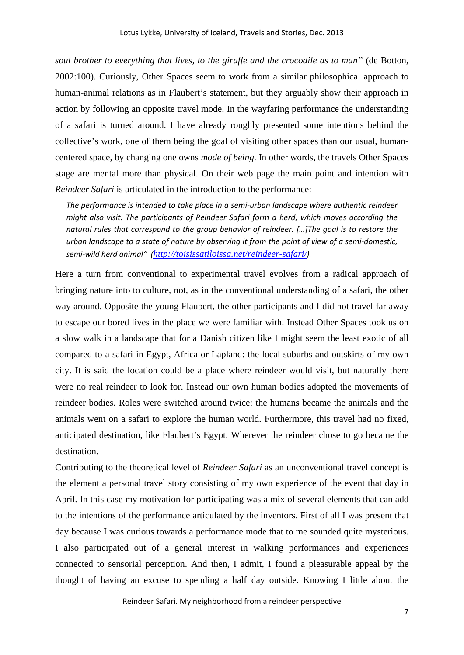*soul brother to everything that lives, to the giraffe and the crocodile as to man"* (de Botton, 2002:100). Curiously, Other Spaces seem to work from a similar philosophical approach to human-animal relations as in Flaubert's statement, but they arguably show their approach in action by following an opposite travel mode. In the wayfaring performance the understanding of a safari is turned around. I have already roughly presented some intentions behind the collective's work, one of them being the goal of visiting other spaces than our usual, humancentered space, by changing one owns *mode of being*. In other words, the travels Other Spaces stage are mental more than physical. On their web page the main point and intention with *Reindeer Safari* is articulated in the introduction to the performance:

*The performance is intended to take place in a semi‐urban landscape where authentic reindeer might also visit. The participants of Reindeer Safari form a herd, which moves according the natural rules that correspond to the group behavior of reindeer. […]The goal is to restore the* urban landscape to a state of nature by observing it from the point of view of a semi-domestic, *semi‐wild herd animal" (http://toisissatiloissa.net/reindeer-safari/).* 

Here a turn from conventional to experimental travel evolves from a radical approach of bringing nature into to culture, not, as in the conventional understanding of a safari, the other way around. Opposite the young Flaubert, the other participants and I did not travel far away to escape our bored lives in the place we were familiar with. Instead Other Spaces took us on a slow walk in a landscape that for a Danish citizen like I might seem the least exotic of all compared to a safari in Egypt, Africa or Lapland: the local suburbs and outskirts of my own city. It is said the location could be a place where reindeer would visit, but naturally there were no real reindeer to look for. Instead our own human bodies adopted the movements of reindeer bodies. Roles were switched around twice: the humans became the animals and the animals went on a safari to explore the human world. Furthermore, this travel had no fixed, anticipated destination, like Flaubert's Egypt. Wherever the reindeer chose to go became the destination.

Contributing to the theoretical level of *Reindeer Safari* as an unconventional travel concept is the element a personal travel story consisting of my own experience of the event that day in April. In this case my motivation for participating was a mix of several elements that can add to the intentions of the performance articulated by the inventors. First of all I was present that day because I was curious towards a performance mode that to me sounded quite mysterious. I also participated out of a general interest in walking performances and experiences connected to sensorial perception. And then, I admit, I found a pleasurable appeal by the thought of having an excuse to spending a half day outside. Knowing I little about the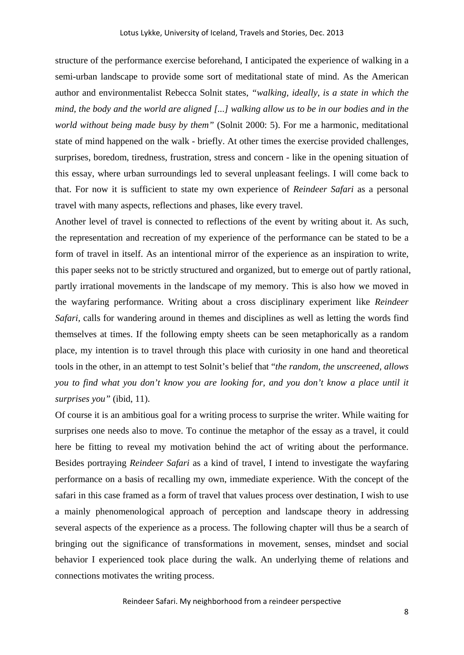structure of the performance exercise beforehand, I anticipated the experience of walking in a semi-urban landscape to provide some sort of meditational state of mind. As the American author and environmentalist Rebecca Solnit states, *"walking, ideally, is a state in which the mind, the body and the world are aligned [...] walking allow us to be in our bodies and in the world without being made busy by them"* (Solnit 2000: 5). For me a harmonic, meditational state of mind happened on the walk - briefly. At other times the exercise provided challenges, surprises, boredom, tiredness, frustration, stress and concern - like in the opening situation of this essay, where urban surroundings led to several unpleasant feelings. I will come back to that. For now it is sufficient to state my own experience of *Reindeer Safari* as a personal travel with many aspects, reflections and phases, like every travel.

Another level of travel is connected to reflections of the event by writing about it. As such, the representation and recreation of my experience of the performance can be stated to be a form of travel in itself. As an intentional mirror of the experience as an inspiration to write, this paper seeks not to be strictly structured and organized, but to emerge out of partly rational, partly irrational movements in the landscape of my memory. This is also how we moved in the wayfaring performance. Writing about a cross disciplinary experiment like *Reindeer Safari,* calls for wandering around in themes and disciplines as well as letting the words find themselves at times. If the following empty sheets can be seen metaphorically as a random place, my intention is to travel through this place with curiosity in one hand and theoretical tools in the other, in an attempt to test Solnit's belief that "*the random, the unscreened, allows you to find what you don't know you are looking for, and you don't know a place until it surprises you"* (ibid, 11).

Of course it is an ambitious goal for a writing process to surprise the writer. While waiting for surprises one needs also to move. To continue the metaphor of the essay as a travel, it could here be fitting to reveal my motivation behind the act of writing about the performance. Besides portraying *Reindeer Safari* as a kind of travel, I intend to investigate the wayfaring performance on a basis of recalling my own, immediate experience. With the concept of the safari in this case framed as a form of travel that values process over destination, I wish to use a mainly phenomenological approach of perception and landscape theory in addressing several aspects of the experience as a process. The following chapter will thus be a search of bringing out the significance of transformations in movement, senses, mindset and social behavior I experienced took place during the walk. An underlying theme of relations and connections motivates the writing process.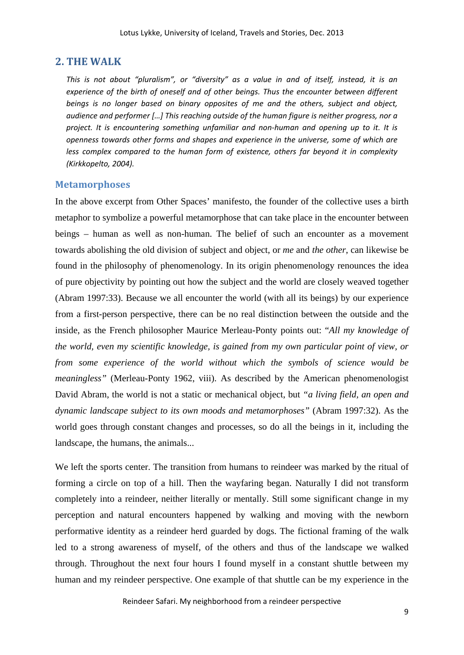### **2. THE WALK**

*This is not about "pluralism", or "diversity" as a value in and of itself, instead, it is an experience of the birth of oneself and of other beings. Thus the encounter between different beings is no longer based on binary opposites of me and the others, subject and object, audience and performer […] This reaching outside of the human figure is neither progress, nor a project. It is encountering something unfamiliar and non‐human and opening up to it. It is openness towards other forms and shapes and experience in the universe, some of which are less complex compared to the human form of existence, others far beyond it in complexity (Kirkkopelto, 2004).* 

#### **Metamorphoses**

In the above excerpt from Other Spaces' manifesto, the founder of the collective uses a birth metaphor to symbolize a powerful metamorphose that can take place in the encounter between beings – human as well as non-human. The belief of such an encounter as a movement towards abolishing the old division of subject and object, or *me* and *the other*, can likewise be found in the philosophy of phenomenology. In its origin phenomenology renounces the idea of pure objectivity by pointing out how the subject and the world are closely weaved together (Abram 1997:33). Because we all encounter the world (with all its beings) by our experience from a first-person perspective, there can be no real distinction between the outside and the inside, as the French philosopher Maurice Merleau-Ponty points out: "*All my knowledge of the world, even my scientific knowledge, is gained from my own particular point of view, or from some experience of the world without which the symbols of science would be meaningless*" (Merleau-Ponty 1962, viii). As described by the American phenomenologist David Abram, the world is not a static or mechanical object, but *"a living field, an open and dynamic landscape subject to its own moods and metamorphoses"* (Abram 1997:32). As the world goes through constant changes and processes, so do all the beings in it, including the landscape, the humans, the animals...

We left the sports center. The transition from humans to reindeer was marked by the ritual of forming a circle on top of a hill. Then the wayfaring began. Naturally I did not transform completely into a reindeer, neither literally or mentally. Still some significant change in my perception and natural encounters happened by walking and moving with the newborn performative identity as a reindeer herd guarded by dogs. The fictional framing of the walk led to a strong awareness of myself, of the others and thus of the landscape we walked through. Throughout the next four hours I found myself in a constant shuttle between my human and my reindeer perspective. One example of that shuttle can be my experience in the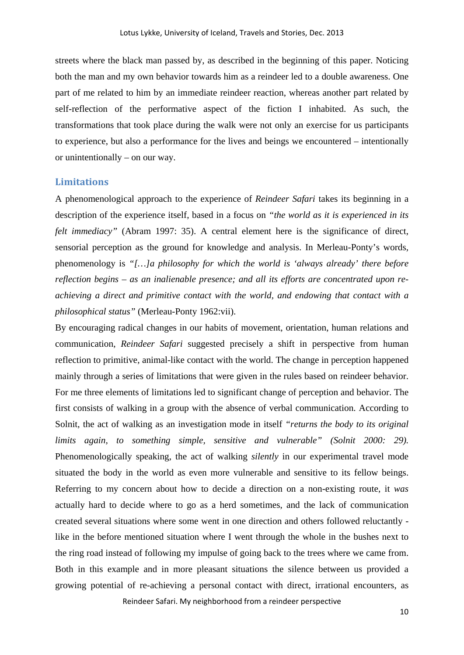streets where the black man passed by, as described in the beginning of this paper. Noticing both the man and my own behavior towards him as a reindeer led to a double awareness. One part of me related to him by an immediate reindeer reaction, whereas another part related by self-reflection of the performative aspect of the fiction I inhabited. As such, the transformations that took place during the walk were not only an exercise for us participants to experience, but also a performance for the lives and beings we encountered – intentionally or unintentionally – on our way.

#### **Limitations**

A phenomenological approach to the experience of *Reindeer Safari* takes its beginning in a description of the experience itself, based in a focus on *"the world as it is experienced in its felt immediacy"* (Abram 1997: 35). A central element here is the significance of direct, sensorial perception as the ground for knowledge and analysis. In Merleau-Ponty's words, phenomenology is *"[…]a philosophy for which the world is 'always already' there before reflection begins – as an inalienable presence; and all its efforts are concentrated upon reachieving a direct and primitive contact with the world, and endowing that contact with a philosophical status"* (Merleau-Ponty 1962:vii).

By encouraging radical changes in our habits of movement, orientation, human relations and communication, *Reindeer Safari* suggested precisely a shift in perspective from human reflection to primitive, animal-like contact with the world. The change in perception happened mainly through a series of limitations that were given in the rules based on reindeer behavior. For me three elements of limitations led to significant change of perception and behavior. The first consists of walking in a group with the absence of verbal communication. According to Solnit, the act of walking as an investigation mode in itself *"returns the body to its original limits again, to something simple, sensitive and vulnerable* (Solnit 2000: 29). Phenomenologically speaking, the act of walking *silently* in our experimental travel mode situated the body in the world as even more vulnerable and sensitive to its fellow beings. Referring to my concern about how to decide a direction on a non-existing route, it *was* actually hard to decide where to go as a herd sometimes, and the lack of communication created several situations where some went in one direction and others followed reluctantly like in the before mentioned situation where I went through the whole in the bushes next to the ring road instead of following my impulse of going back to the trees where we came from. Both in this example and in more pleasant situations the silence between us provided a growing potential of re-achieving a personal contact with direct, irrational encounters, as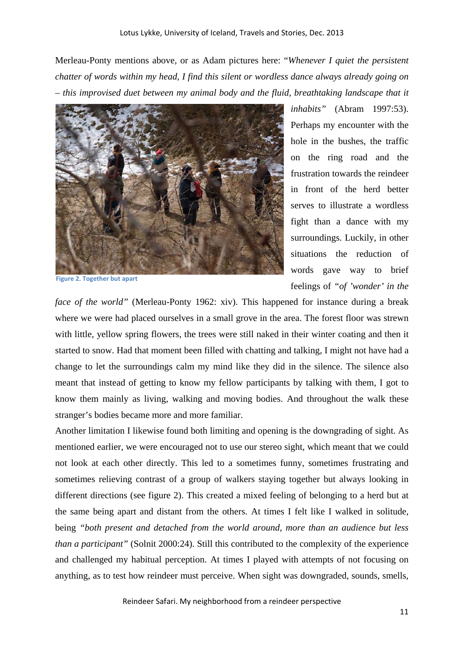Merleau-Ponty mentions above, or as Adam pictures here: "*Whenever I quiet the persistent chatter of words within my head, I find this silent or wordless dance always already going on – this improvised duet between my animal body and the fluid, breathtaking landscape that it* 



**Figure 2. Together but apart**

*inhabits"* (Abram 1997:53). Perhaps my encounter with the hole in the bushes, the traffic on the ring road and the frustration towards the reindeer in front of the herd better serves to illustrate a wordless fight than a dance with my surroundings. Luckily, in other situations the reduction of words gave way to brief feelings of *"of 'wonder' in the* 

*face of the world"* (Merleau-Ponty 1962: xiv). This happened for instance during a break where we were had placed ourselves in a small grove in the area. The forest floor was strewn with little, yellow spring flowers, the trees were still naked in their winter coating and then it started to snow. Had that moment been filled with chatting and talking, I might not have had a change to let the surroundings calm my mind like they did in the silence. The silence also meant that instead of getting to know my fellow participants by talking with them, I got to know them mainly as living, walking and moving bodies. And throughout the walk these stranger's bodies became more and more familiar.

Another limitation I likewise found both limiting and opening is the downgrading of sight. As mentioned earlier, we were encouraged not to use our stereo sight, which meant that we could not look at each other directly. This led to a sometimes funny, sometimes frustrating and sometimes relieving contrast of a group of walkers staying together but always looking in different directions (see figure 2). This created a mixed feeling of belonging to a herd but at the same being apart and distant from the others. At times I felt like I walked in solitude, being *"both present and detached from the world around, more than an audience but less than a participant"* (Solnit 2000:24). Still this contributed to the complexity of the experience and challenged my habitual perception. At times I played with attempts of not focusing on anything, as to test how reindeer must perceive. When sight was downgraded, sounds, smells,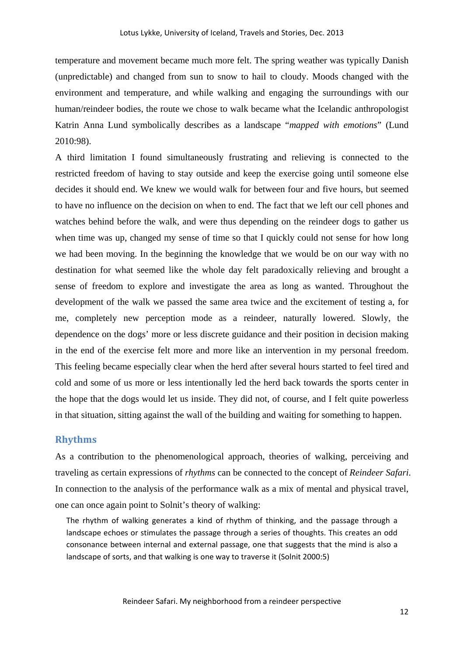temperature and movement became much more felt. The spring weather was typically Danish (unpredictable) and changed from sun to snow to hail to cloudy. Moods changed with the environment and temperature, and while walking and engaging the surroundings with our human/reindeer bodies, the route we chose to walk became what the Icelandic anthropologist Katrin Anna Lund symbolically describes as a landscape "*mapped with emotions*" (Lund 2010:98).

A third limitation I found simultaneously frustrating and relieving is connected to the restricted freedom of having to stay outside and keep the exercise going until someone else decides it should end. We knew we would walk for between four and five hours, but seemed to have no influence on the decision on when to end. The fact that we left our cell phones and watches behind before the walk, and were thus depending on the reindeer dogs to gather us when time was up, changed my sense of time so that I quickly could not sense for how long we had been moving. In the beginning the knowledge that we would be on our way with no destination for what seemed like the whole day felt paradoxically relieving and brought a sense of freedom to explore and investigate the area as long as wanted. Throughout the development of the walk we passed the same area twice and the excitement of testing a, for me, completely new perception mode as a reindeer, naturally lowered. Slowly, the dependence on the dogs' more or less discrete guidance and their position in decision making in the end of the exercise felt more and more like an intervention in my personal freedom. This feeling became especially clear when the herd after several hours started to feel tired and cold and some of us more or less intentionally led the herd back towards the sports center in the hope that the dogs would let us inside. They did not, of course, and I felt quite powerless in that situation, sitting against the wall of the building and waiting for something to happen.

#### **Rhythms**

As a contribution to the phenomenological approach, theories of walking, perceiving and traveling as certain expressions of *rhythms* can be connected to the concept of *Reindeer Safari*. In connection to the analysis of the performance walk as a mix of mental and physical travel, one can once again point to Solnit's theory of walking:

The rhythm of walking generates a kind of rhythm of thinking, and the passage through a landscape echoes or stimulates the passage through a series of thoughts. This creates an odd consonance between internal and external passage, one that suggests that the mind is also a landscape of sorts, and that walking is one way to traverse it (Solnit 2000:5)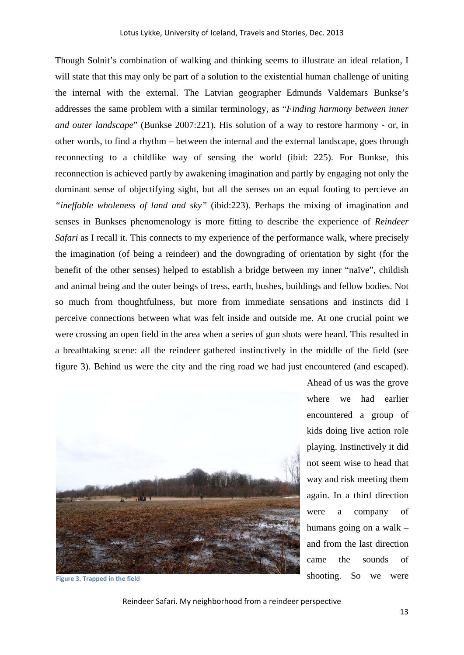Though Solnit's combination of walking and thinking seems to illustrate an ideal relation, I will state that this may only be part of a solution to the existential human challenge of uniting the internal with the external. The Latvian geographer Edmunds Valdemars Bunkse's addresses the same problem with a similar terminology, as "*Finding harmony between inner and outer landscape*" (Bunkse 2007:221). His solution of a way to restore harmony - or, in other words, to find a rhythm – between the internal and the external landscape, goes through reconnecting to a childlike way of sensing the world (ibid: 225). For Bunkse, this reconnection is achieved partly by awakening imagination and partly by engaging not only the dominant sense of objectifying sight, but all the senses on an equal footing to percieve an *"ineffable wholeness of land and sky"* (ibid:223). Perhaps the mixing of imagination and senses in Bunkses phenomenology is more fitting to describe the experience of *Reindeer Safari* as I recall it. This connects to my experience of the performance walk, where precisely the imagination (of being a reindeer) and the downgrading of orientation by sight (for the benefit of the other senses) helped to establish a bridge between my inner "naïve", childish and animal being and the outer beings of tress, earth, bushes, buildings and fellow bodies. Not so much from thoughtfulness, but more from immediate sensations and instincts did I perceive connections between what was felt inside and outside me. At one crucial point we were crossing an open field in the area when a series of gun shots were heard. This resulted in a breathtaking scene: all the reindeer gathered instinctively in the middle of the field (see figure 3). Behind us were the city and the ring road we had just encountered (and escaped).



Ahead of us was the grove where we had earlier encountered a group of kids doing live action role playing. Instinctively it did not seem wise to head that way and risk meeting them again. In a third direction were a company of humans going on a walk – and from the last direction came the sounds of shooting. So we were **Figure 3. Trapped in the field**

Reindeer Safari. My neighborhood from a reindeer perspective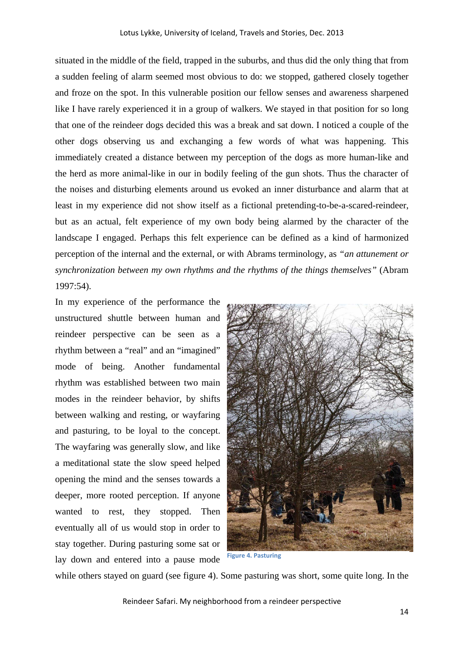situated in the middle of the field, trapped in the suburbs, and thus did the only thing that from a sudden feeling of alarm seemed most obvious to do: we stopped, gathered closely together and froze on the spot. In this vulnerable position our fellow senses and awareness sharpened like I have rarely experienced it in a group of walkers. We stayed in that position for so long that one of the reindeer dogs decided this was a break and sat down. I noticed a couple of the other dogs observing us and exchanging a few words of what was happening. This immediately created a distance between my perception of the dogs as more human-like and the herd as more animal-like in our in bodily feeling of the gun shots. Thus the character of the noises and disturbing elements around us evoked an inner disturbance and alarm that at least in my experience did not show itself as a fictional pretending-to-be-a-scared-reindeer, but as an actual, felt experience of my own body being alarmed by the character of the landscape I engaged. Perhaps this felt experience can be defined as a kind of harmonized perception of the internal and the external, or with Abrams terminology, as *"an attunement or synchronization between my own rhythms and the rhythms of the things themselves"* (Abram 1997:54).

In my experience of the performance the unstructured shuttle between human and reindeer perspective can be seen as a rhythm between a "real" and an "imagined" mode of being. Another fundamental rhythm was established between two main modes in the reindeer behavior, by shifts between walking and resting, or wayfaring and pasturing*,* to be loyal to the concept. The wayfaring was generally slow, and like a meditational state the slow speed helped opening the mind and the senses towards a deeper, more rooted perception. If anyone wanted to rest, they stopped. Then eventually all of us would stop in order to stay together. During pasturing some sat or lay down and entered into a pause mode



**Figure 4. Pasturing**

while others stayed on guard (see figure 4). Some pasturing was short, some quite long. In the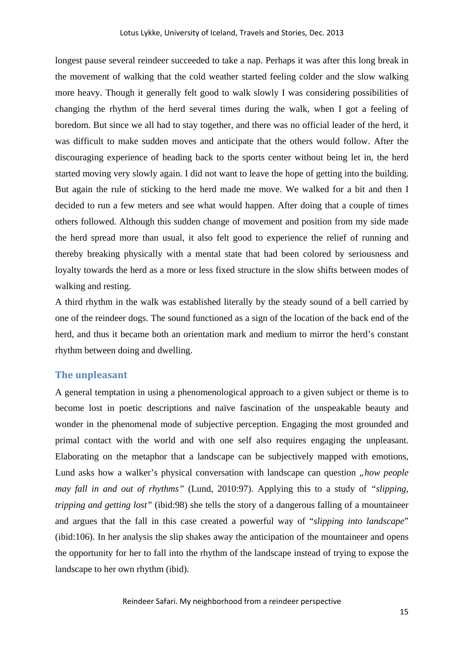longest pause several reindeer succeeded to take a nap. Perhaps it was after this long break in the movement of walking that the cold weather started feeling colder and the slow walking more heavy. Though it generally felt good to walk slowly I was considering possibilities of changing the rhythm of the herd several times during the walk, when I got a feeling of boredom. But since we all had to stay together, and there was no official leader of the herd, it was difficult to make sudden moves and anticipate that the others would follow. After the discouraging experience of heading back to the sports center without being let in, the herd started moving very slowly again. I did not want to leave the hope of getting into the building. But again the rule of sticking to the herd made me move. We walked for a bit and then I decided to run a few meters and see what would happen. After doing that a couple of times others followed. Although this sudden change of movement and position from my side made the herd spread more than usual, it also felt good to experience the relief of running and thereby breaking physically with a mental state that had been colored by seriousness and loyalty towards the herd as a more or less fixed structure in the slow shifts between modes of walking and resting.

A third rhythm in the walk was established literally by the steady sound of a bell carried by one of the reindeer dogs. The sound functioned as a sign of the location of the back end of the herd, and thus it became both an orientation mark and medium to mirror the herd's constant rhythm between doing and dwelling.

#### **The unpleasant**

A general temptation in using a phenomenological approach to a given subject or theme is to become lost in poetic descriptions and naïve fascination of the unspeakable beauty and wonder in the phenomenal mode of subjective perception. Engaging the most grounded and primal contact with the world and with one self also requires engaging the unpleasant. Elaborating on the metaphor that a landscape can be subjectively mapped with emotions, Lund asks how a walker's physical conversation with landscape can question *"how people may fall in and out of rhythms"* (Lund, 2010:97). Applying this to a study of *"slipping, tripping and getting lost"* (ibid:98) she tells the story of a dangerous falling of a mountaineer and argues that the fall in this case created a powerful way of "*slipping into landscape*" (ibid:106). In her analysis the slip shakes away the anticipation of the mountaineer and opens the opportunity for her to fall into the rhythm of the landscape instead of trying to expose the landscape to her own rhythm (ibid).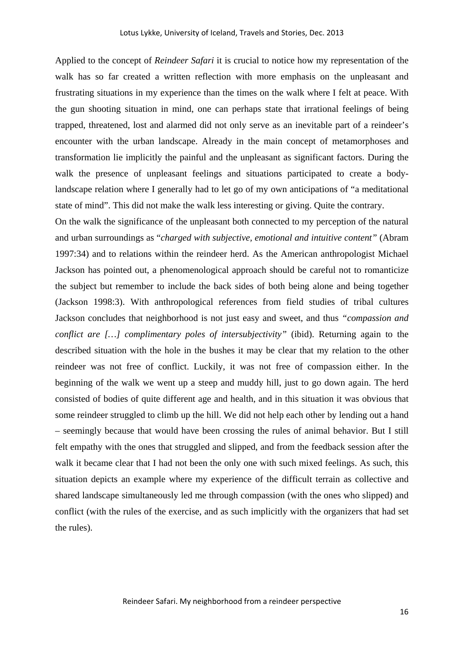Applied to the concept of *Reindeer Safari* it is crucial to notice how my representation of the walk has so far created a written reflection with more emphasis on the unpleasant and frustrating situations in my experience than the times on the walk where I felt at peace. With the gun shooting situation in mind, one can perhaps state that irrational feelings of being trapped, threatened, lost and alarmed did not only serve as an inevitable part of a reindeer's encounter with the urban landscape. Already in the main concept of metamorphoses and transformation lie implicitly the painful and the unpleasant as significant factors. During the walk the presence of unpleasant feelings and situations participated to create a bodylandscape relation where I generally had to let go of my own anticipations of "a meditational state of mind". This did not make the walk less interesting or giving. Quite the contrary.

On the walk the significance of the unpleasant both connected to my perception of the natural and urban surroundings as "*charged with subjective, emotional and intuitive content"* (Abram 1997:34) and to relations within the reindeer herd. As the American anthropologist Michael Jackson has pointed out, a phenomenological approach should be careful not to romanticize the subject but remember to include the back sides of both being alone and being together (Jackson 1998:3). With anthropological references from field studies of tribal cultures Jackson concludes that neighborhood is not just easy and sweet, and thus *"compassion and conflict are […] complimentary poles of intersubjectivity*" (ibid). Returning again to the described situation with the hole in the bushes it may be clear that my relation to the other reindeer was not free of conflict. Luckily, it was not free of compassion either. In the beginning of the walk we went up a steep and muddy hill, just to go down again. The herd consisted of bodies of quite different age and health, and in this situation it was obvious that some reindeer struggled to climb up the hill. We did not help each other by lending out a hand – seemingly because that would have been crossing the rules of animal behavior. But I still felt empathy with the ones that struggled and slipped, and from the feedback session after the walk it became clear that I had not been the only one with such mixed feelings. As such, this situation depicts an example where my experience of the difficult terrain as collective and shared landscape simultaneously led me through compassion (with the ones who slipped) and conflict (with the rules of the exercise, and as such implicitly with the organizers that had set the rules).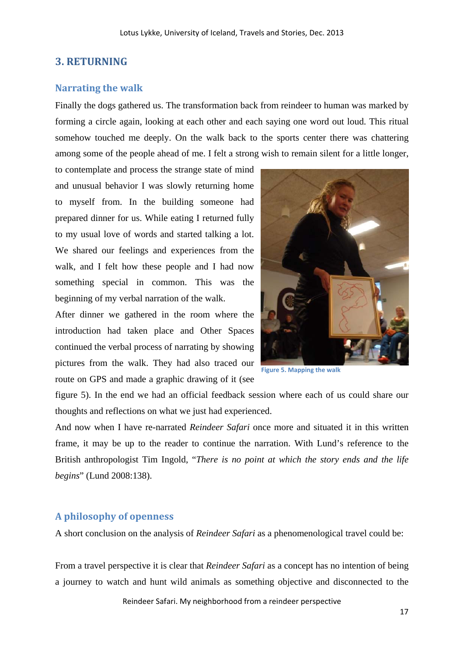#### **3. RETURNING**

#### **Narrating the walk**

Finally the dogs gathered us. The transformation back from reindeer to human was marked by forming a circle again, looking at each other and each saying one word out loud. This ritual somehow touched me deeply. On the walk back to the sports center there was chattering among some of the people ahead of me. I felt a strong wish to remain silent for a little longer,

to contemplate and process the strange state of mind and unusual behavior I was slowly returning home to myself from. In the building someone had prepared dinner for us. While eating I returned fully to my usual love of words and started talking a lot. We shared our feelings and experiences from the walk, and I felt how these people and I had now something special in common. This was the beginning of my verbal narration of the walk.

After dinner we gathered in the room where the introduction had taken place and Other Spaces continued the verbal process of narrating by showing pictures from the walk. They had also traced our route on GPS and made a graphic drawing of it (see



**Figure 5. Mapping the walk**

figure 5). In the end we had an official feedback session where each of us could share our thoughts and reflections on what we just had experienced.

And now when I have re-narrated *Reindeer Safari* once more and situated it in this written frame, it may be up to the reader to continue the narration. With Lund's reference to the British anthropologist Tim Ingold, "*There is no point at which the story ends and the life begins*" (Lund 2008:138).

#### **A philosophy of openness**

A short conclusion on the analysis of *Reindeer Safari* as a phenomenological travel could be:

From a travel perspective it is clear that *Reindeer Safari* as a concept has no intention of being a journey to watch and hunt wild animals as something objective and disconnected to the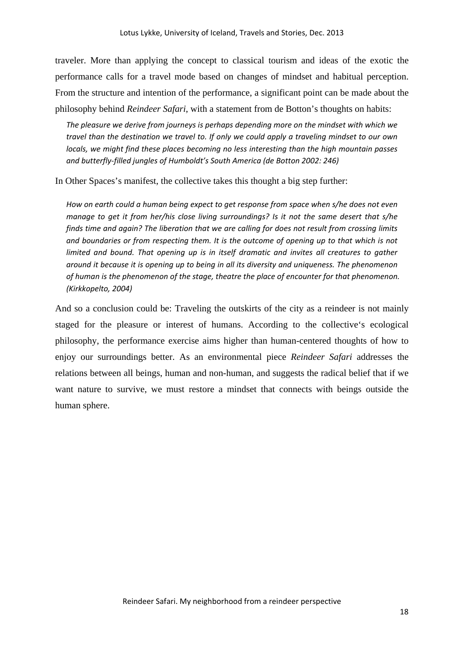traveler. More than applying the concept to classical tourism and ideas of the exotic the performance calls for a travel mode based on changes of mindset and habitual perception. From the structure and intention of the performance, a significant point can be made about the philosophy behind *Reindeer Safari*, with a statement from de Botton's thoughts on habits:

*The pleasure we derive from journeys is perhaps depending more on the mindset with which we travel than the destination we travel to. If only we could apply a traveling mindset to our own locals, we might find these places becoming no less interesting than the high mountain passes and butterfly‐filled jungles of Humboldt's South America (de Botton 2002: 246)*

In Other Spaces's manifest, the collective takes this thought a big step further:

*How on earth could a human being expect to get response from space when s/he does not even manage to get it from her/his close living surroundings? Is it not the same desert that s/he finds time and again? The liberation that we are calling for does not result from crossing limits and boundaries or from respecting them. It is the outcome of opening up to that which is not limited and bound. That opening up is in itself dramatic and invites all creatures to gather around it because it is opening up to being in all its diversity and uniqueness. The phenomenon of human is the phenomenon of the stage, theatre the place of encounter for that phenomenon. (Kirkkopelto, 2004)*

And so a conclusion could be: Traveling the outskirts of the city as a reindeer is not mainly staged for the pleasure or interest of humans. According to the collective's ecological philosophy, the performance exercise aims higher than human-centered thoughts of how to enjoy our surroundings better. As an environmental piece *Reindeer Safari* addresses the relations between all beings, human and non-human, and suggests the radical belief that if we want nature to survive, we must restore a mindset that connects with beings outside the human sphere.